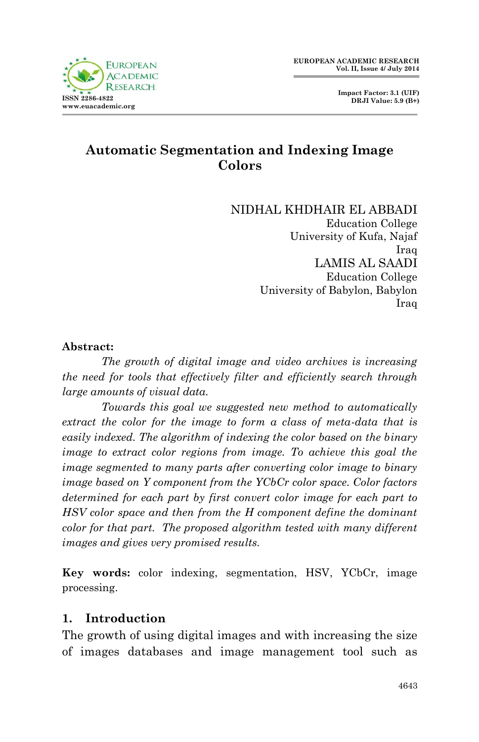## **Automatic Segmentation and Indexing Image Colors**

NIDHAL KHDHAIR EL ABBADI Education College University of Kufa, Najaf Iraq LAMIS AL SAADI Education College University of Babylon, Babylon Iraq

#### **Abstract:**

*The growth of digital image and video archives is increasing the need for tools that effectively filter and efficiently search through large amounts of visual data.* 

*Towards this goal we suggested new method to automatically extract the color for the image to form a class of meta-data that is easily indexed. The algorithm of indexing the color based on the binary image to extract color regions from image. To achieve this goal the image segmented to many parts after converting color image to binary image based on Y component from the YCbCr color space. Color factors determined for each part by first convert color image for each part to HSV color space and then from the H component define the dominant color for that part. The proposed algorithm tested with many different images and gives very promised results.*

**Key words:** color indexing, segmentation, HSV, YCbCr, image processing.

## **1. Introduction**

The growth of using digital images and with increasing the size of images databases and image management tool such as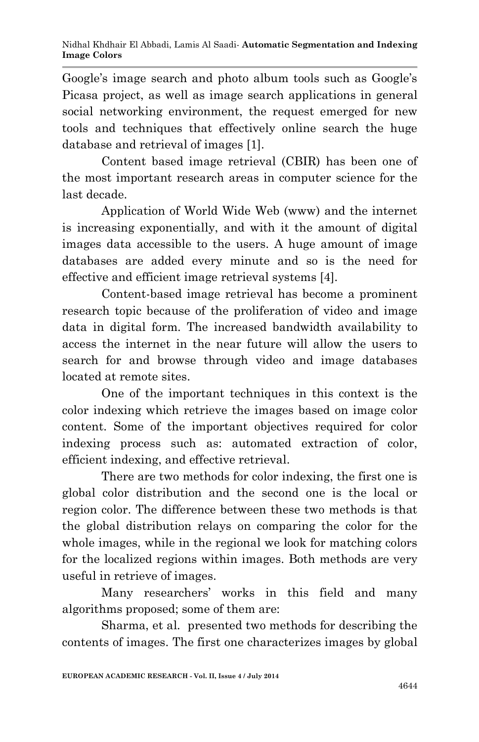Google's image search and photo album tools such as Google's Picasa project, as well as image search applications in general social networking environment, the request emerged for new tools and techniques that effectively online search the huge database and retrieval of images [1].

Content based image retrieval (CBIR) has been one of the most important research areas in computer science for the last decade.

Application of World Wide Web (www) and the internet is increasing exponentially, and with it the amount of digital images data accessible to the users. A huge amount of image databases are added every minute and so is the need for effective and efficient image retrieval systems [4]*.*

Content-based image retrieval has become a prominent research topic because of the proliferation of video and image data in digital form. The increased bandwidth availability to access the internet in the near future will allow the users to search for and browse through video and image databases located at remote sites.

One of the important techniques in this context is the color indexing which retrieve the images based on image color content. Some of the important objectives required for color indexing process such as: automated extraction of color, efficient indexing, and effective retrieval.

There are two methods for color indexing, the first one is global color distribution and the second one is the local or region color. The difference between these two methods is that the global distribution relays on comparing the color for the whole images, while in the regional we look for matching colors for the localized regions within images. Both methods are very useful in retrieve of images.

Many researchers' works in this field and many algorithms proposed; some of them are:

Sharma, et al*.* presented two methods for describing the contents of images. The first one characterizes images by global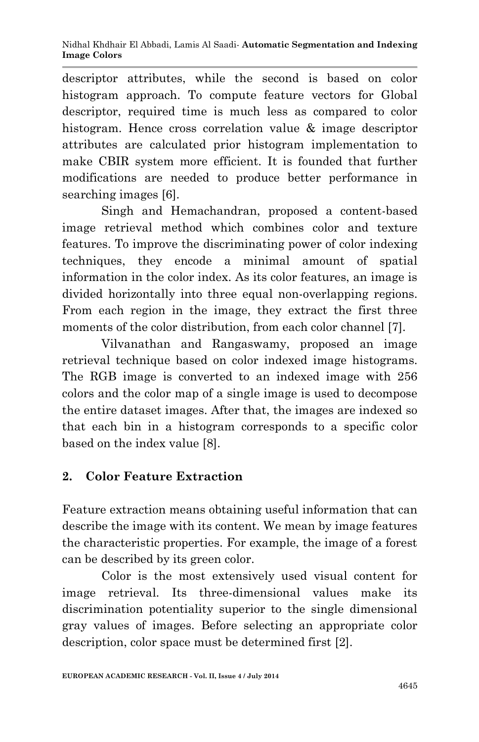descriptor attributes, while the second is based on color histogram approach. To compute feature vectors for Global descriptor, required time is much less as compared to color histogram. Hence cross correlation value & image descriptor attributes are calculated prior histogram implementation to make CBIR system more efficient. It is founded that further modifications are needed to produce better performance in searching images [6].

Singh and Hemachandran, proposed a content-based image retrieval method which combines color and texture features. To improve the discriminating power of color indexing techniques, they encode a minimal amount of spatial information in the color index. As its color features, an image is divided horizontally into three equal non-overlapping regions. From each region in the image, they extract the first three moments of the color distribution, from each color channel [7].

Vilvanathan and Rangaswamy, proposed an image retrieval technique based on color indexed image histograms. The RGB image is converted to an indexed image with 256 colors and the color map of a single image is used to decompose the entire dataset images. After that, the images are indexed so that each bin in a histogram corresponds to a specific color based on the index value [8].

## **2. Color Feature Extraction**

Feature extraction means obtaining useful information that can describe the image with its content. We mean by image features the characteristic properties. For example, the image of a forest can be described by its green color.

Color is the most extensively used visual content for image retrieval. Its three-dimensional values make its discrimination potentiality superior to the single dimensional gray values of images. Before selecting an appropriate color description, color space must be determined first [2].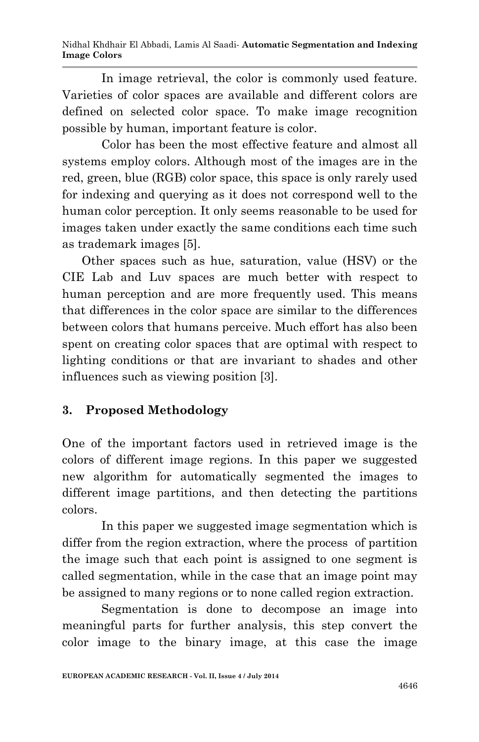Nidhal Khdhair El Abbadi, Lamis Al Saadi*-* **Automatic Segmentation and Indexing Image Colors**

In image retrieval, the color is commonly used feature. Varieties of color spaces are available and different colors are defined on selected color space. To make image recognition possible by human, important feature is color.

Color has been the most effective feature and almost all systems employ colors. Although most of the images are in the red, green, blue (RGB) color space, this space is only rarely used for indexing and querying as it does not correspond well to the human color perception. It only seems reasonable to be used for images taken under exactly the same conditions each time such as trademark images [5].

Other spaces such as hue, saturation, value (HSV) or the CIE Lab and Luv spaces are much better with respect to human perception and are more frequently used. This means that differences in the color space are similar to the differences between colors that humans perceive. Much effort has also been spent on creating color spaces that are optimal with respect to lighting conditions or that are invariant to shades and other influences such as viewing position [3].

## **3. Proposed Methodology**

One of the important factors used in retrieved image is the colors of different image regions. In this paper we suggested new algorithm for automatically segmented the images to different image partitions, and then detecting the partitions colors.

In this paper we suggested image segmentation which is differ from the region extraction, where the process of partition the image such that each point is assigned to one segment is called segmentation, while in the case that an image point may be assigned to many regions or to none called region extraction.

Segmentation is done to decompose an image into meaningful parts for further analysis, this step convert the color image to the binary image, at this case the image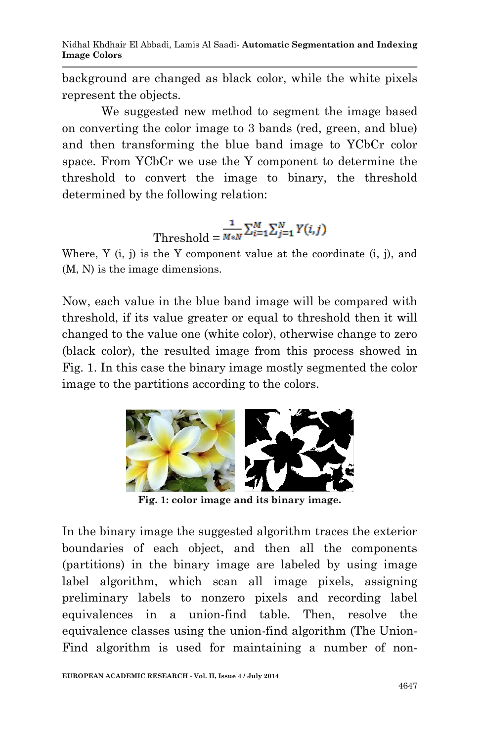Nidhal Khdhair El Abbadi, Lamis Al Saadi*-* **Automatic Segmentation and Indexing Image Colors**

background are changed as black color, while the white pixels represent the objects.

We suggested new method to segment the image based on converting the color image to 3 bands (red, green, and blue) and then transforming the blue band image to YCbCr color space. From YCbCr we use the Y component to determine the threshold to convert the image to binary, the threshold determined by the following relation:

# Threshold =  $\frac{1}{M*N} \sum_{i=1}^{M} \sum_{j=1}^{N} Y(i,j)$

Where,  $Y$  (i, j) is the  $Y$  component value at the coordinate (i, j), and (M, N) is the image dimensions.

Now, each value in the blue band image will be compared with threshold, if its value greater or equal to threshold then it will changed to the value one (white color), otherwise change to zero (black color), the resulted image from this process showed in Fig. 1. In this case the binary image mostly segmented the color image to the partitions according to the colors.



**Fig. 1: color image and its binary image.**

In the binary image the suggested algorithm traces the exterior boundaries of each object, and then all the components (partitions) in the binary image are labeled by using image label algorithm, which scan all image pixels, assigning preliminary labels to nonzero pixels and recording label equivalences in a union-find table. Then, resolve the equivalence classes using the union-find algorithm (The Union-Find algorithm is used for maintaining a number of non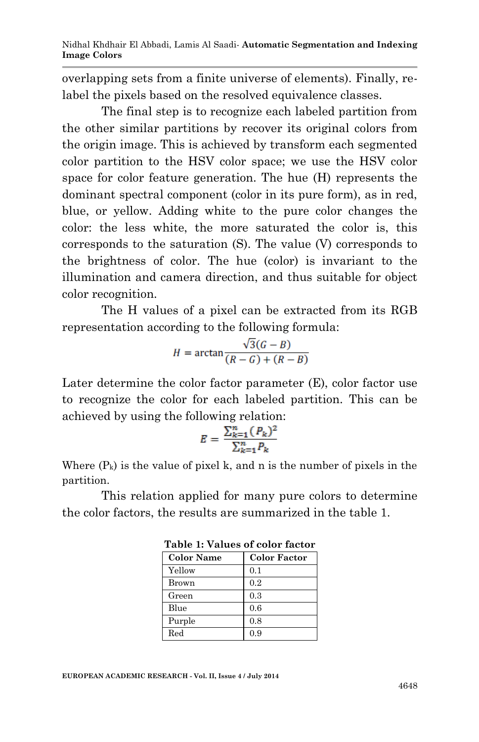overlapping sets from a finite universe of elements). Finally, relabel the pixels based on the resolved equivalence classes.

The final step is to recognize each labeled partition from the other similar partitions by recover its original colors from the origin image. This is achieved by transform each segmented color partition to the HSV color space; we use the HSV color space for color feature generation. The hue (H) represents the dominant spectral component (color in its pure form), as in red, blue, or yellow. Adding white to the pure color changes the color: the less white, the more saturated the color is, this corresponds to the saturation (S). The value (V) corresponds to the brightness of color. The hue (color) is invariant to the illumination and camera direction, and thus suitable for object color recognition.

The H values of a pixel can be extracted from its RGB representation according to the following formula:

$$
H = \arctan\frac{\sqrt{3}(G-B)}{(R-G) + (R-B)}
$$

Later determine the color factor parameter (E), color factor use to recognize the color for each labeled partition. This can be achieved by using the following relation:

$$
E = \frac{\sum_{k=1}^{n} (P_k)^2}{\sum_{k=1}^{n} P_k}
$$

Where  $(P_k)$  is the value of pixel k, and n is the number of pixels in the partition.

This relation applied for many pure colors to determine the color factors, the results are summarized in the table 1.

| <b>Color Name</b> | <b>Color Factor</b> |
|-------------------|---------------------|
| Yellow            | 0.1                 |
| Brown             | 0.2                 |
| Green             | 0.3                 |
| Blue              | 0.6                 |
| Purple            | 0.8                 |
| Red               | 0.9                 |

**Table 1: Values of color factor**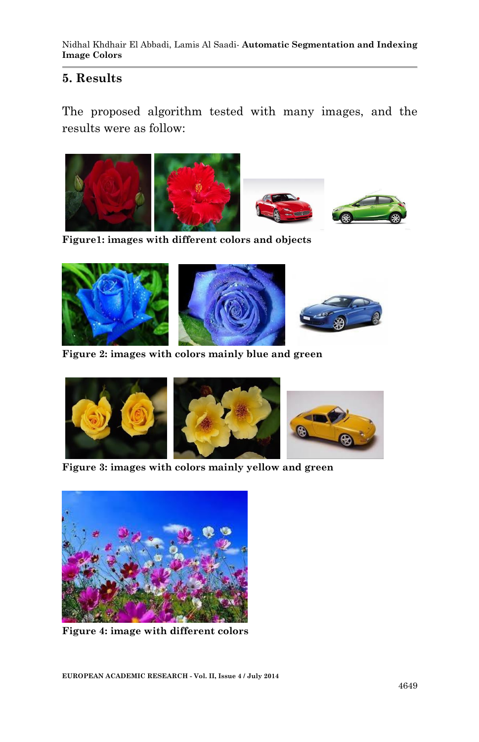### **5. Results**

The proposed algorithm tested with many images, and the results were as follow:



**Figure1: images with different colors and objects**







**Figure 2: images with colors mainly blue and green** 



**Figure 3: images with colors mainly yellow and green** 



**Figure 4: image with different colors**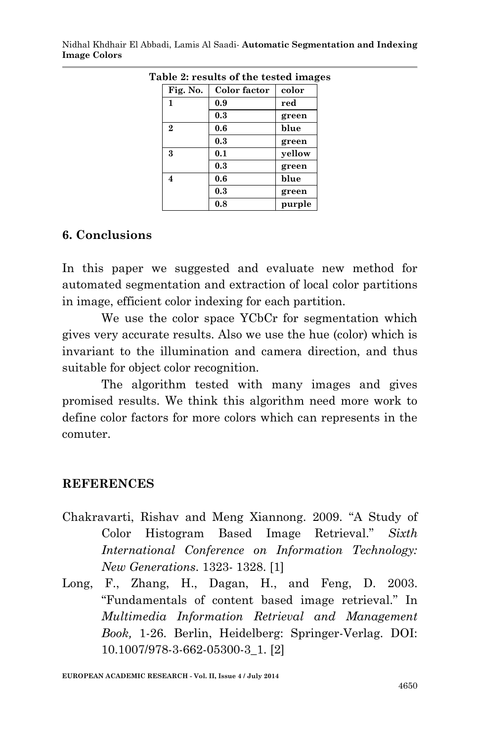| Table 2: results of the tested images |                         |              |        |
|---------------------------------------|-------------------------|--------------|--------|
|                                       | Fig. No.                | Color factor | color  |
|                                       | 1                       | 0.9          | red    |
|                                       |                         | $0.3\,$      | green  |
|                                       | $\overline{2}$          | 0.6          | blue   |
|                                       |                         | 0.3          | green  |
|                                       | 3                       | 0.1          | yellow |
|                                       |                         | 0.3          | green  |
|                                       | $\overline{\mathbf{4}}$ | 0.6          | blue   |
|                                       |                         | 0.3          | green  |
|                                       |                         | 0.8          | purple |

Nidhal Khdhair El Abbadi, Lamis Al Saadi*-* **Automatic Segmentation and Indexing Image Colors**

#### **6. Conclusions**

In this paper we suggested and evaluate new method for automated segmentation and extraction of local color partitions in image, efficient color indexing for each partition.

We use the color space YCbCr for segmentation which gives very accurate results. Also we use the hue (color) which is invariant to the illumination and camera direction, and thus suitable for object color recognition.

The algorithm tested with many images and gives promised results. We think this algorithm need more work to define color factors for more colors which can represents in the comuter.

#### **REFERENCES**

- Chakravarti, Rishav and Meng Xiannong. 2009. "A Study of Color Histogram Based Image Retrieval." *Sixth International Conference on Information Technology: New Generations*. 1323- 1328. [1]
- Long, F., Zhang, H., Dagan, H., and Feng, D. 2003. "Fundamentals of content based image retrieval." In *Multimedia Information Retrieval and Management Book,* 1-26. Berlin, Heidelberg: Springer-Verlag. DOI: 10.1007/978-3-662-05300-3\_1. [2]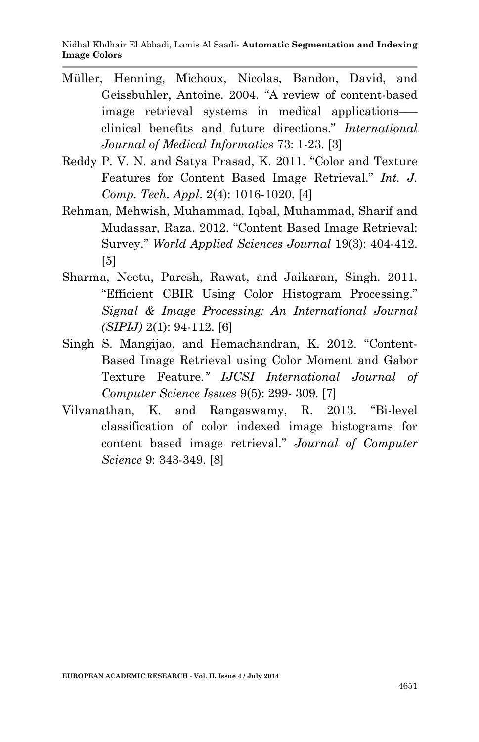- Müller, Henning, Michoux, Nicolas, Bandon, David, and Geissbuhler, Antoine. 2004. "A review of content-based image retrieval systems in medical applications– clinical benefits and future directions." *International Journal of Medical Informatics* 73: 1-23. [3]
- Reddy P. V. N. and Satya Prasad, K. 2011. "Color and Texture Features for Content Based Image Retrieval." *Int. J. Comp. Tech. Appl*. 2(4): 1016-1020. [4]
- Rehman, Mehwish, Muhammad, Iqbal, Muhammad, Sharif and Mudassar, Raza. 2012. "Content Based Image Retrieval: Survey." *World Applied Sciences Journal* 19(3): 404-412. [5]
- Sharma, Neetu, Paresh, Rawat, and Jaikaran, Singh. 2011. "Efficient CBIR Using Color Histogram Processing." *Signal & Image Processing: An International Journal (SIPIJ)* 2(1): 94-112. [6]
- Singh S. Mangijao, and Hemachandran, K. 2012. "Content-Based Image Retrieval using Color Moment and Gabor Texture Feature*." IJCSI International Journal of Computer Science Issues* 9(5): 299- 309. [7]
- Vilvanathan, K. and Rangaswamy, R. 2013. "Bi-level classification of color indexed image histograms for content based image retrieval." *Journal of Computer Science* 9: 343-349. [8]